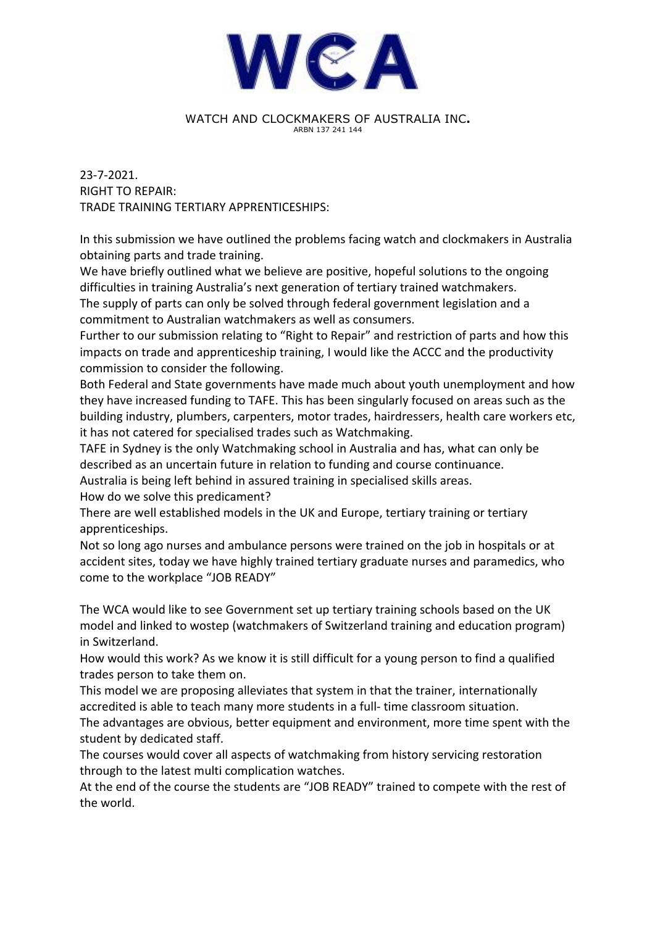

## WATCH AND CLOCKMAKERS OF AUSTRALIA INC. ARBN 137 241 144

23-7-2021. **RIGHT TO REPAIR:** TRADE TRAINING TERTIARY APPRENTICESHIPS:

In this submission we have outlined the problems facing watch and clockmakers in Australia obtaining parts and trade training.

We have briefly outlined what we believe are positive, hopeful solutions to the ongoing difficulties in training Australia's next generation of tertiary trained watchmakers. The supply of parts can only be solved through federal government legislation and a commitment to Australian watchmakers as well as consumers.

Further to our submission relating to "Right to Repair" and restriction of parts and how this impacts on trade and apprenticeship training, I would like the ACCC and the productivity commission to consider the following.

Both Federal and State governments have made much about youth unemployment and how they have increased funding to TAFE. This has been singularly focused on areas such as the building industry, plumbers, carpenters, motor trades, hairdressers, health care workers etc, it has not catered for specialised trades such as Watchmaking.

TAFE in Sydney is the only Watchmaking school in Australia and has, what can only be described as an uncertain future in relation to funding and course continuance.

Australia is being left behind in assured training in specialised skills areas.

How do we solve this predicament?

There are well established models in the UK and Europe, tertiary training or tertiary apprenticeships.

Not so long ago nurses and ambulance persons were trained on the job in hospitals or at accident sites, today we have highly trained tertiary graduate nurses and paramedics, who come to the workplace "JOB READY"

The WCA would like to see Government set up tertiary training schools based on the UK model and linked to wostep (watchmakers of Switzerland training and education program) in Switzerland.

How would this work? As we know it is still difficult for a young person to find a qualified trades person to take them on.

This model we are proposing alleviates that system in that the trainer, internationally accredited is able to teach many more students in a full- time classroom situation. The advantages are obvious, better equipment and environment, more time spent with the student by dedicated staff.

The courses would cover all aspects of watchmaking from history servicing restoration through to the latest multi complication watches.

At the end of the course the students are "JOB READY" trained to compete with the rest of the world.